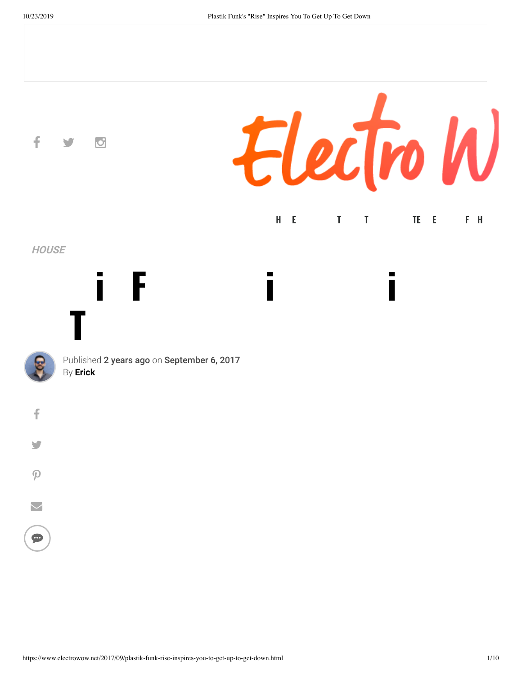$\overline{\smile}$ 

 $\bullet$ 

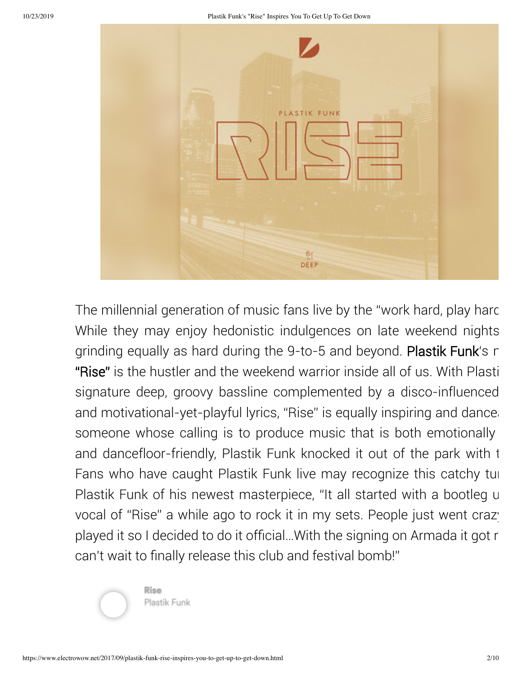

The millennial generation of music fans live by the "work hard, play hard While they may enjoy hedonistic indulgences on late weekend nights grinding equally as hard during the 9-to-5 and beyond. Plastik Funk's r "Rise" is the hustler and the weekend warrior inside all of us. With Plasti signature deep, groovy bassline complemented by a disco-influenced and motivational-yet-playful lyrics, "Rise" is equally inspiring and danceal someone whose calling is to produce music that is both emotionally and dancefloor-friendly, Plastik Funk knocked it out of the park with t Fans who have caught Plastik Funk live may recognize this catchy tun Plastik Funk of his newest masterpiece, "It all started with a bootleg u vocal of "Rise" a while ago to rock it in my sets. People just went crazy played it so I decided to do it official…With the signing on Armada it got r can't wait to finally release this club and festival bomb!"



Plastik Funk